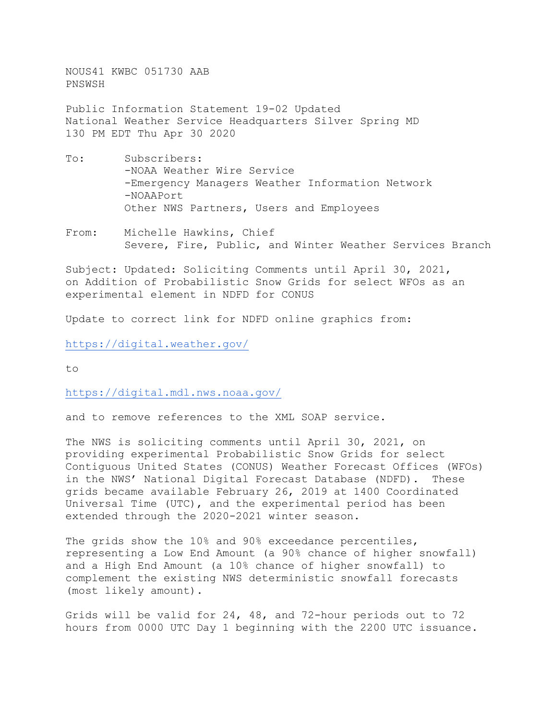NOUS41 KWBC 051730 AAB PNSWSH

Public Information Statement 19-02 Updated National Weather Service Headquarters Silver Spring MD 130 PM EDT Thu Apr 30 2020

- To: Subscribers: -NOAA Weather Wire Service -Emergency Managers Weather Information Network -NOAAPort Other NWS Partners, Users and Employees
- From: Michelle Hawkins, Chief Severe, Fire, Public, and Winter Weather Services Branch

Subject: Updated: Soliciting Comments until April 30, 2021, on Addition of Probabilistic Snow Grids for select WFOs as an experimental element in NDFD for CONUS

Update to correct link for NDFD online graphics from:

<https://digital.weather.gov/>

to

<https://digital.mdl.nws.noaa.gov/>

and to remove references to the XML SOAP service.

The NWS is soliciting comments until April 30, 2021, on providing experimental Probabilistic Snow Grids for select Contiguous United States (CONUS) Weather Forecast Offices (WFOs) in the NWS' National Digital Forecast Database (NDFD). These grids became available February 26, 2019 at 1400 Coordinated Universal Time (UTC), and the experimental period has been extended through the 2020-2021 winter season.

The grids show the 10% and 90% exceedance percentiles, representing a Low End Amount (a 90% chance of higher snowfall) and a High End Amount (a 10% chance of higher snowfall) to complement the existing NWS deterministic snowfall forecasts (most likely amount).

Grids will be valid for 24, 48, and 72-hour periods out to 72 hours from 0000 UTC Day 1 beginning with the 2200 UTC issuance.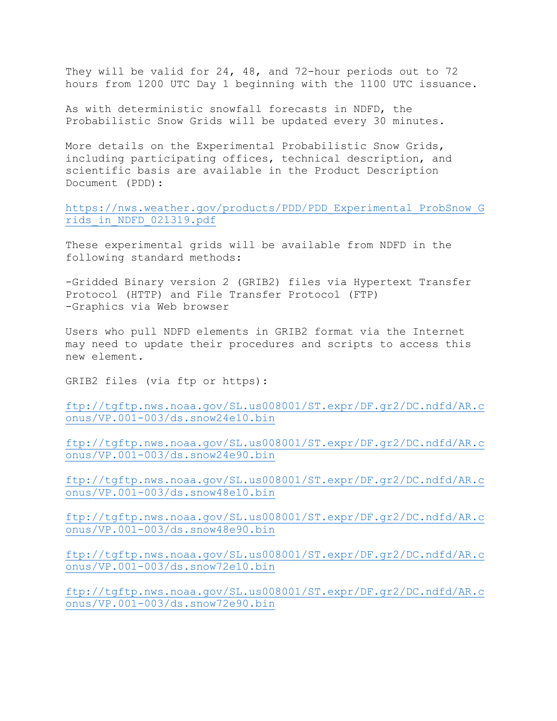They will be valid for 24, 48, and 72-hour periods out to 72 hours from 1200 UTC Day 1 beginning with the 1100 UTC issuance.

As with deterministic snowfall forecasts in NDFD, the Probabilistic Snow Grids will be updated every 30 minutes.

More details on the Experimental Probabilistic Snow Grids, including participating offices, technical description, and scientific basis are available in the Product Description Document (PDD):

[https://nws.weather.gov/products/PDD/PDD\\_Experimental\\_ProbSnow\\_G](https://nws.weather.gov/products/PDD/PDD_Experimental_ProbSnow_Grids_in_NDFD_021319.pdf) [rids\\_in\\_NDFD\\_021319.pdf](https://nws.weather.gov/products/PDD/PDD_Experimental_ProbSnow_Grids_in_NDFD_021319.pdf)

These experimental grids will be available from NDFD in the following standard methods:

-Gridded Binary version 2 (GRIB2) files via Hypertext Transfer Protocol (HTTP) and File Transfer Protocol (FTP) -Graphics via Web browser

Users who pull NDFD elements in GRIB2 format via the Internet may need to update their procedures and scripts to access this new element.

GRIB2 files (via ftp or https):

[ftp://tgftp.nws.noaa.gov/SL.us008001/ST.expr/DF.gr2/DC.ndfd/AR.c](ftp://tgftp.nws.noaa.gov/SL.us008001/ST.expr/DF.gr2/DC.ndfd/AR.conus/VP.001-003/ds.snow24e10.bin) [onus/VP.001-003/ds.snow24e10.bin](ftp://tgftp.nws.noaa.gov/SL.us008001/ST.expr/DF.gr2/DC.ndfd/AR.conus/VP.001-003/ds.snow24e10.bin)

[ftp://tgftp.nws.noaa.gov/SL.us008001/ST.expr/DF.gr2/DC.ndfd/AR.c](ftp://tgftp.nws.noaa.gov/SL.us008001/ST.expr/DF.gr2/DC.ndfd/AR.conus/VP.001-003/ds.snow24e90.bin) [onus/VP.001-003/ds.snow24e90.bin](ftp://tgftp.nws.noaa.gov/SL.us008001/ST.expr/DF.gr2/DC.ndfd/AR.conus/VP.001-003/ds.snow24e90.bin)

[ftp://tgftp.nws.noaa.gov/SL.us008001/ST.expr/DF.gr2/DC.ndfd/AR.c](ftp://tgftp.nws.noaa.gov/SL.us008001/ST.expr/DF.gr2/DC.ndfd/AR.conus/VP.001-003/ds.snow48e10.bin) [onus/VP.001-003/ds.snow48e10.bin](ftp://tgftp.nws.noaa.gov/SL.us008001/ST.expr/DF.gr2/DC.ndfd/AR.conus/VP.001-003/ds.snow48e10.bin)

[ftp://tgftp.nws.noaa.gov/SL.us008001/ST.expr/DF.gr2/DC.ndfd/AR.c](ftp://tgftp.nws.noaa.gov/SL.us008001/ST.expr/DF.gr2/DC.ndfd/AR.conus/VP.001-003/ds.snow48e90.bin) [onus/VP.001-003/ds.snow48e90.bin](ftp://tgftp.nws.noaa.gov/SL.us008001/ST.expr/DF.gr2/DC.ndfd/AR.conus/VP.001-003/ds.snow48e90.bin)

[ftp://tgftp.nws.noaa.gov/SL.us008001/ST.expr/DF.gr2/DC.ndfd/AR.c](ftp://tgftp.nws.noaa.gov/SL.us008001/ST.expr/DF.gr2/DC.ndfd/AR.conus/VP.001-003/ds.snow72e10.bin) [onus/VP.001-003/ds.snow72e10.bin](ftp://tgftp.nws.noaa.gov/SL.us008001/ST.expr/DF.gr2/DC.ndfd/AR.conus/VP.001-003/ds.snow72e10.bin)

[ftp://tgftp.nws.noaa.gov/SL.us008001/ST.expr/DF.gr2/DC.ndfd/AR.c](ftp://tgftp.nws.noaa.gov/SL.us008001/ST.expr/DF.gr2/DC.ndfd/AR.conus/VP.001-003/ds.snow72e90.bin) [onus/VP.001-003/ds.snow72e90.bin](ftp://tgftp.nws.noaa.gov/SL.us008001/ST.expr/DF.gr2/DC.ndfd/AR.conus/VP.001-003/ds.snow72e90.bin)